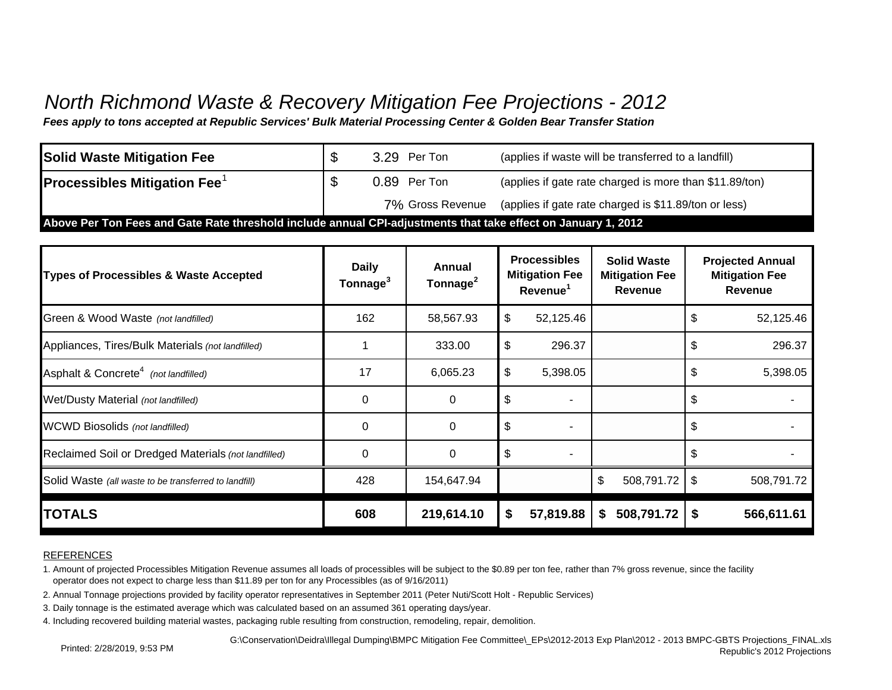## *North Richmond Waste & Recovery Mitigation Fee Projections - 2012*

*Fees apply to tons accepted at Republic Services' Bulk Material Processing Center & Golden Bear Transfer Statio n*

| <b>Solid Waste Mitigation Fee</b>                                                                             | \$ | 3.29 Per Ton     | (applies if waste will be transferred to a landfill)    |  |  |  |
|---------------------------------------------------------------------------------------------------------------|----|------------------|---------------------------------------------------------|--|--|--|
| <b>Processibles Mitigation Fee</b> <sup>1</sup>                                                               | \$ | 0.89 Per Ton     | (applies if gate rate charged is more than \$11.89/ton) |  |  |  |
|                                                                                                               |    | 7% Gross Revenue | (applies if gate rate charged is \$11.89/ton or less)   |  |  |  |
| Above Per Ton Fees and Gate Rate threshold include annual CPI-adjustments that take effect on January 1, 2012 |    |                  |                                                         |  |  |  |

| Types of Processibles & Waste Accepted                | <b>Daily</b><br>Tonnage <sup>3</sup> | <b>Processibles</b><br>Annual<br><b>Mitigation Fee</b><br>Tonnage <sup>2</sup><br>Revenue <sup>1</sup> |    | <b>Solid Waste</b><br><b>Mitigation Fee</b><br><b>Revenue</b> | <b>Projected Annual</b><br><b>Mitigation Fee</b><br><b>Revenue</b> |    |            |
|-------------------------------------------------------|--------------------------------------|--------------------------------------------------------------------------------------------------------|----|---------------------------------------------------------------|--------------------------------------------------------------------|----|------------|
| Green & Wood Waste (not landfilled)                   | 162                                  | 58,567.93                                                                                              | \$ | 52,125.46                                                     |                                                                    | S  | 52,125.46  |
| Appliances, Tires/Bulk Materials (not landfilled)     |                                      | 333.00                                                                                                 | \$ | 296.37                                                        |                                                                    | \$ | 296.37     |
| Asphalt & Concrete <sup>4</sup> (not landfilled)      | 17                                   | 6,065.23                                                                                               | \$ | 5,398.05                                                      |                                                                    | \$ | 5,398.05   |
| Wet/Dusty Material (not landfilled)                   | 0                                    | $\Omega$                                                                                               | \$ |                                                               |                                                                    | S  |            |
| <b>WCWD Biosolids</b> (not landfilled)                | 0                                    | $\Omega$                                                                                               | \$ |                                                               |                                                                    | \$ |            |
| Reclaimed Soil or Dredged Materials (not landfilled)  | 0                                    | $\Omega$                                                                                               | \$ | $\overline{\phantom{a}}$                                      |                                                                    | \$ |            |
| Solid Waste (all waste to be transferred to landfill) | 428                                  | 154,647.94                                                                                             |    |                                                               | \$<br>508,791.72                                                   | \$ | 508,791.72 |
| <b>TOTALS</b>                                         | 608                                  | 219,614.10                                                                                             | \$ | 57,819.88                                                     | 508,791.72<br>\$                                                   | S. | 566,611.61 |

## REFERENCES

1. Amount of projected Processibles Mitigation Revenue assumes all loads of processibles will be subject to the \$0.89 per ton fee, rather than 7% gross revenue, since the facility operator does not expect to charge less than \$11.89 per ton for any Processibles (as of 9/16/2011)

2. Annual Tonnage projections provided by facility operator representatives in September 2011 (Peter Nuti/Scott Holt - Republic Services)

3. Daily tonnage is the estimated average which was calculated based on an assumed 361 operating days/year.

4. Including recovered building material wastes, packaging ruble resulting from construction, remodeling, repair, demolition.